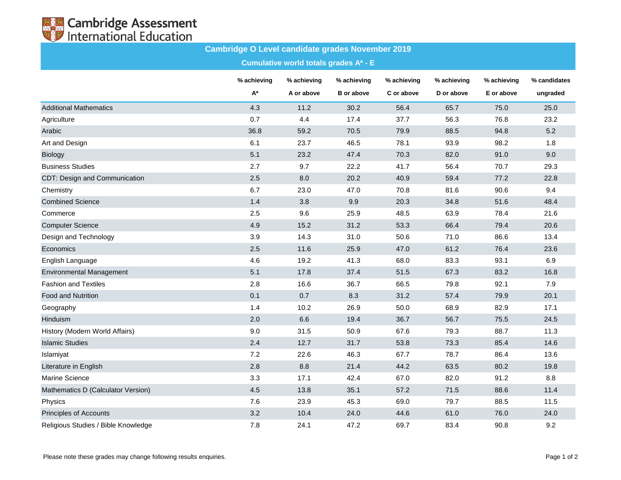

## **Cambridge O Level candidate grades November 2019**

**Cumulative world totals grades A\* - E**

|                                     | % achieving | % achieving | % achieving       | % achieving | % achieving | % achieving | % candidates |
|-------------------------------------|-------------|-------------|-------------------|-------------|-------------|-------------|--------------|
|                                     | $A^*$       | A or above  | <b>B</b> or above | C or above  | D or above  | E or above  | ungraded     |
| <b>Additional Mathematics</b>       | 4.3         | 11.2        | 30.2              | 56.4        | 65.7        | 75.0        | 25.0         |
| Agriculture                         | 0.7         | 4.4         | 17.4              | 37.7        | 56.3        | 76.8        | 23.2         |
| Arabic                              | 36.8        | 59.2        | 70.5              | 79.9        | 88.5        | 94.8        | 5.2          |
| Art and Design                      | 6.1         | 23.7        | 46.5              | 78.1        | 93.9        | 98.2        | 1.8          |
| Biology                             | 5.1         | 23.2        | 47.4              | 70.3        | 82.0        | 91.0        | 9.0          |
| <b>Business Studies</b>             | 2.7         | 9.7         | 22.2              | 41.7        | 56.4        | 70.7        | 29.3         |
| CDT: Design and Communication       | 2.5         | 8.0         | 20.2              | 40.9        | 59.4        | 77.2        | 22.8         |
| Chemistry                           | 6.7         | 23.0        | 47.0              | 70.8        | 81.6        | 90.6        | 9.4          |
| <b>Combined Science</b>             | 1.4         | 3.8         | 9.9               | 20.3        | 34.8        | 51.6        | 48.4         |
| Commerce                            | 2.5         | 9.6         | 25.9              | 48.5        | 63.9        | 78.4        | 21.6         |
| <b>Computer Science</b>             | 4.9         | 15.2        | 31.2              | 53.3        | 66.4        | 79.4        | 20.6         |
| Design and Technology               | 3.9         | 14.3        | 31.0              | 50.6        | 71.0        | 86.6        | 13.4         |
| Economics                           | 2.5         | 11.6        | 25.9              | 47.0        | 61.2        | 76.4        | 23.6         |
| English Language                    | 4.6         | 19.2        | 41.3              | 68.0        | 83.3        | 93.1        | 6.9          |
| <b>Environmental Management</b>     | 5.1         | 17.8        | 37.4              | 51.5        | 67.3        | 83.2        | 16.8         |
| <b>Fashion and Textiles</b>         | 2.8         | 16.6        | 36.7              | 66.5        | 79.8        | 92.1        | 7.9          |
| <b>Food and Nutrition</b>           | 0.1         | 0.7         | 8.3               | 31.2        | 57.4        | 79.9        | 20.1         |
| Geography                           | 1.4         | 10.2        | 26.9              | 50.0        | 68.9        | 82.9        | 17.1         |
| Hinduism                            | 2.0         | 6.6         | 19.4              | 36.7        | 56.7        | 75.5        | 24.5         |
| History (Modern World Affairs)      | 9.0         | 31.5        | 50.9              | 67.6        | 79.3        | 88.7        | 11.3         |
| <b>Islamic Studies</b>              | 2.4         | 12.7        | 31.7              | 53.8        | 73.3        | 85.4        | 14.6         |
| Islamiyat                           | 7.2         | 22.6        | 46.3              | 67.7        | 78.7        | 86.4        | 13.6         |
| Literature in English               | 2.8         | 8.8         | 21.4              | 44.2        | 63.5        | 80.2        | 19.8         |
| <b>Marine Science</b>               | 3.3         | 17.1        | 42.4              | 67.0        | 82.0        | 91.2        | 8.8          |
| Mathematics D (Calculator Version)  | 4.5         | 13.8        | 35.1              | 57.2        | 71.5        | 88.6        | 11.4         |
| Physics                             | 7.6         | 23.9        | 45.3              | 69.0        | 79.7        | 88.5        | 11.5         |
| Principles of Accounts              | 3.2         | 10.4        | 24.0              | 44.6        | 61.0        | 76.0        | 24.0         |
| Religious Studies / Bible Knowledge | 7.8         | 24.1        | 47.2              | 69.7        | 83.4        | 90.8        | 9.2          |